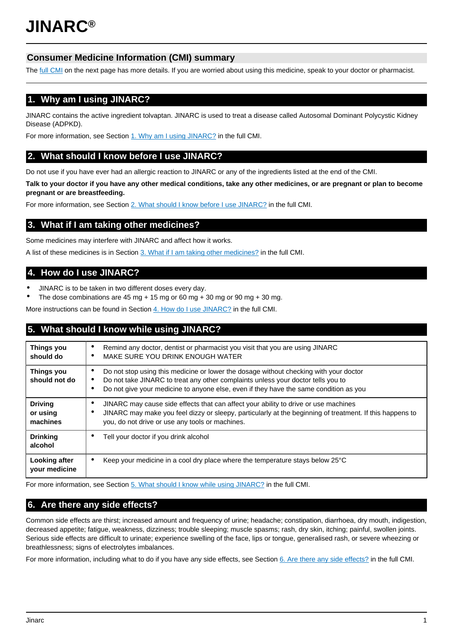# **Consumer Medicine Information (CMI) summary**

The [full CMI](#page-1-0) on the next page has more details. If you are worried about using this medicine, speak to your doctor or pharmacist.

# **1. Why am I using JINARC?**

JINARC contains the active ingredient tolvaptan. JINARC is used to treat a disease called Autosomal Dominant Polycystic Kidney Disease (ADPKD).

For more information, see Section [1. Why am I using JINARC?](#page-1-1) in the full CMI.

# **2. What should I know before I use JINARC?**

Do not use if you have ever had an allergic reaction to JINARC or any of the ingredients listed at the end of the CMI.

**Talk to your doctor if you have any other medical conditions, take any other medicines, or are pregnant or plan to become pregnant or are breastfeeding.**

For more information, see Section [2. What should I know before I use JINARC?](#page-1-2) in the full CMI.

# **3. What if I am taking other medicines?**

Some medicines may interfere with JINARC and affect how it works.

A list of these medicines is in Section [3. What if I am taking other medicines?](#page-1-3) in the full CMI.

# **4. How do I use JINARC?**

- JINARC is to be taken in two different doses every day.
- The dose combinations are 45 mg + 15 mg or 60 mg + 30 mg or 90 mg + 30 mg.

More instructions can be found in Section [4. How do I use JINARC?](#page-2-0) in the full CMI.

# **5. What should I know while using JINARC?**

| <b>Things you</b><br>should do         | Remind any doctor, dentist or pharmacist you visit that you are using JINARC<br>$\bullet$<br>MAKE SURE YOU DRINK ENOUGH WATER<br>٠                                                                                                                                           |  |
|----------------------------------------|------------------------------------------------------------------------------------------------------------------------------------------------------------------------------------------------------------------------------------------------------------------------------|--|
| Things you<br>should not do            | Do not stop using this medicine or lower the dosage without checking with your doctor<br>Do not take JINARC to treat any other complaints unless your doctor tells you to<br>٠<br>Do not give your medicine to anyone else, even if they have the same condition as you<br>٠ |  |
| <b>Driving</b><br>or using<br>machines | JINARC may cause side effects that can affect your ability to drive or use machines<br>٠<br>JINARC may make you feel dizzy or sleepy, particularly at the beginning of treatment. If this happens to<br>٠<br>you, do not drive or use any tools or machines.                 |  |
| <b>Drinking</b><br>alcohol             | Tell your doctor if you drink alcohol<br>٠                                                                                                                                                                                                                                   |  |
| Looking after<br>your medicine         | Keep your medicine in a cool dry place where the temperature stays below 25°C<br>$\bullet$                                                                                                                                                                                   |  |

For more information, see Section [5. What should I know while using JINARC?](#page-2-1) in the full CMI.

# **6. Are there any side effects?**

Common side effects are thirst; increased amount and frequency of urine; headache; constipation, diarrhoea, dry mouth, indigestion, decreased appetite; fatigue, weakness, dizziness; trouble sleeping; muscle spasms; rash, dry skin, itching; painful, swollen joints. Serious side effects are difficult to urinate; experience swelling of the face, lips or tongue, generalised rash, or severe wheezing or breathlessness; signs of electrolytes imbalances.

For more information, including what to do if you have any side effects, see Section [6. Are there any side effects?](#page-3-0) in the full CMI.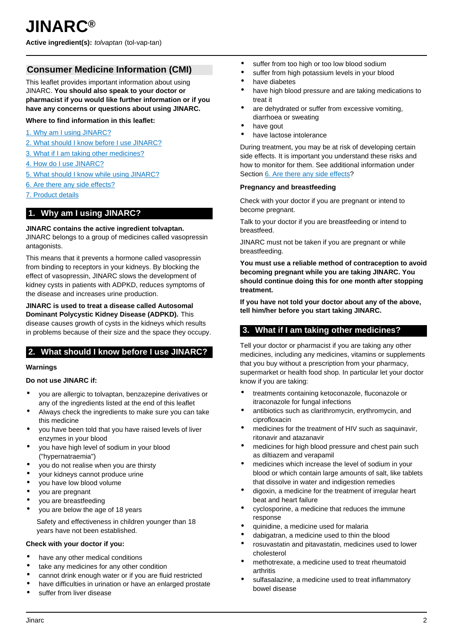## <span id="page-1-0"></span>**Consumer Medicine Information (CMI)**

This leaflet provides important information about using JINARC. **You should also speak to your doctor or pharmacist if you would like further information or if you have any concerns or questions about using JINARC.**

## **Where to find information in this leaflet:**

- [1. Why am I using JINARC?](#page-1-1)
- [2. What should I know before I use JINARC?](#page-1-2)
- [3. What if I am taking other medicines?](#page-1-3)
- [4. How do I use JINARC?](#page-2-0)
- [5. What should I know while using JINARC?](#page-2-1)
- [6. Are there any side effects?](#page-3-0)
- [7. Product details](#page-4-0)

## <span id="page-1-1"></span>**1. Why am I using JINARC?**

#### **JINARC contains the active ingredient tolvaptan.**

JINARC belongs to a group of medicines called vasopressin antagonists.

This means that it prevents a hormone called vasopressin from binding to receptors in your kidneys. By blocking the effect of vasopressin, JINARC slows the development of kidney cysts in patients with ADPKD, reduces symptoms of the disease and increases urine production.

#### **JINARC is used to treat a disease called Autosomal Dominant Polycystic Kidney Disease (ADPKD).** This

disease causes growth of cysts in the kidneys which results in problems because of their size and the space they occupy.

## <span id="page-1-2"></span>**2. What should I know before I use JINARC?**

## **Warnings**

## **Do not use JINARC if:**

- you are allergic to tolvaptan, benzazepine derivatives or any of the ingredients listed at the end of this leaflet
- Always check the ingredients to make sure you can take this medicine
- you have been told that you have raised levels of liver enzymes in your blood
- you have high level of sodium in your blood ("hypernatraemia")
- you do not realise when you are thirsty
- your kidneys cannot produce urine
- you have low blood volume
- you are pregnant
- you are breastfeeding
- you are below the age of 18 years

Safety and effectiveness in children younger than 18 years have not been established.

## **Check with your doctor if you:**

- have any other medical conditions
- take any medicines for any other condition
- cannot drink enough water or if you are fluid restricted
- have difficulties in urination or have an enlarged prostate
- suffer from liver disease
- suffer from too high or too low blood sodium
- suffer from high potassium levels in your blood
- have diabetes
- have high blood pressure and are taking medications to treat it
- are dehydrated or suffer from excessive vomiting, diarrhoea or sweating
- have gout
- have lactose intolerance

During treatment, you may be at risk of developing certain side effects. It is important you understand these risks and how to monitor for them. See additional information under Section [6. Are there any side effects](#page-3-0)?

#### **Pregnancy and breastfeeding**

Check with your doctor if you are pregnant or intend to become pregnant.

Talk to your doctor if you are breastfeeding or intend to breastfeed.

JINARC must not be taken if you are pregnant or while breastfeeding.

**You must use a reliable method of contraception to avoid becoming pregnant while you are taking JINARC. You should continue doing this for one month after stopping treatment.**

**If you have not told your doctor about any of the above, tell him/her before you start taking JINARC.**

## <span id="page-1-3"></span>**3. What if I am taking other medicines?**

Tell your doctor or pharmacist if you are taking any other medicines, including any medicines, vitamins or supplements that you buy without a prescription from your pharmacy, supermarket or health food shop. In particular let your doctor know if you are taking:

- treatments containing ketoconazole, fluconazole or itraconazole for fungal infections
- antibiotics such as clarithromycin, erythromycin, and ciprofloxacin
- medicines for the treatment of HIV such as saquinavir, ritonavir and atazanavir
- medicines for high blood pressure and chest pain such as diltiazem and verapamil
- medicines which increase the level of sodium in your blood or which contain large amounts of salt, like tablets that dissolve in water and indigestion remedies
- digoxin, a medicine for the treatment of irregular heart beat and heart failure
- cyclosporine, a medicine that reduces the immune response
- quinidine, a medicine used for malaria
- dabigatran, a medicine used to thin the blood
- rosuvastatin and pitavastatin, medicines used to lower cholesterol
- methotrexate, a medicine used to treat rheumatoid **arthritis**
- sulfasalazine, a medicine used to treat inflammatory bowel disease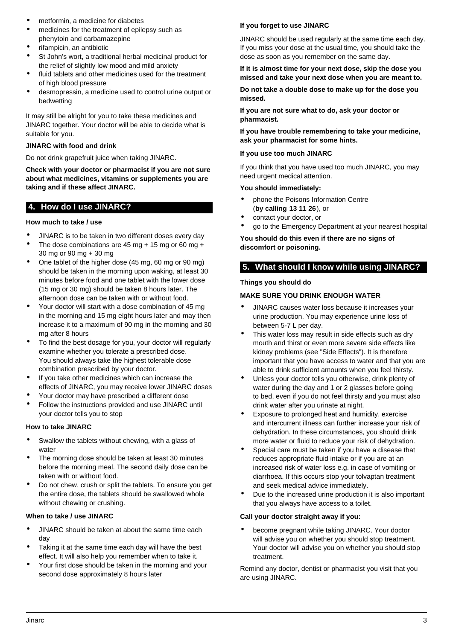- metformin, a medicine for diabetes
- medicines for the treatment of epilepsy such as phenytoin and carbamazepine
- rifampicin, an antibiotic
- St John's wort, a traditional herbal medicinal product for the relief of slightly low mood and mild anxiety
- fluid tablets and other medicines used for the treatment of high blood pressure
- desmopressin, a medicine used to control urine output or bedwetting

It may still be alright for you to take these medicines and JINARC together. Your doctor will be able to decide what is suitable for you.

## **JINARC with food and drink**

Do not drink grapefruit juice when taking JINARC.

**Check with your doctor or pharmacist if you are not sure about what medicines, vitamins or supplements you are taking and if these affect JINARC.**

## <span id="page-2-0"></span>**4. How do I use JINARC?**

## **How much to take / use**

- JINARC is to be taken in two different doses every day
- The dose combinations are  $45 \text{ mg} + 15 \text{ mg}$  or 60 mg + 30 mg or 90 mg + 30 mg
- One tablet of the higher dose (45 mg, 60 mg or 90 mg) should be taken in the morning upon waking, at least 30 minutes before food and one tablet with the lower dose (15 mg or 30 mg) should be taken 8 hours later. The afternoon dose can be taken with or without food.
- Your doctor will start with a dose combination of 45 mg in the morning and 15 mg eight hours later and may then increase it to a maximum of 90 mg in the morning and 30 mg after 8 hours
- To find the best dosage for you, your doctor will regularly examine whether you tolerate a prescribed dose. You should always take the highest tolerable dose combination prescribed by your doctor.
- If you take other medicines which can increase the effects of JINARC, you may receive lower JINARC doses
- Your doctor may have prescribed a different dose
- Follow the instructions provided and use JINARC until your doctor tells you to stop

## **How to take JINARC**

- Swallow the tablets without chewing, with a glass of water
- The morning dose should be taken at least 30 minutes before the morning meal. The second daily dose can be taken with or without food.
- Do not chew, crush or split the tablets. To ensure you get the entire dose, the tablets should be swallowed whole without chewing or crushing.

## **When to take / use JINARC**

- JINARC should be taken at about the same time each day
- Taking it at the same time each day will have the best effect. It will also help you remember when to take it.
- Your first dose should be taken in the morning and your second dose approximately 8 hours later

## **If you forget to use JINARC**

JINARC should be used regularly at the same time each day. If you miss your dose at the usual time, you should take the dose as soon as you remember on the same day.

**If it is almost time for your next dose, skip the dose you missed and take your next dose when you are meant to.**

**Do not take a double dose to make up for the dose you missed.**

**If you are not sure what to do, ask your doctor or pharmacist.**

**If you have trouble remembering to take your medicine, ask your pharmacist for some hints.**

## **If you use too much JINARC**

If you think that you have used too much JINARC, you may need urgent medical attention.

## **You should immediately:**

- phone the Poisons Information Centre (**by calling 13 11 26**), or
- contact your doctor, or
- go to the Emergency Department at your nearest hospital

**You should do this even if there are no signs of discomfort or poisoning.**

## <span id="page-2-1"></span>**5. What should I know while using JINARC?**

## **Things you should do**

## **MAKE SURE YOU DRINK ENOUGH WATER**

- JINARC causes water loss because it increases your urine production. You may experience urine loss of between 5-7 L per day.
- This water loss may result in side effects such as dry mouth and thirst or even more severe side effects like kidney problems (see "Side Effects"). It is therefore important that you have access to water and that you are able to drink sufficient amounts when you feel thirsty.
- Unless your doctor tells you otherwise, drink plenty of water during the day and 1 or 2 glasses before going to bed, even if you do not feel thirsty and you must also drink water after you urinate at night.
- Exposure to prolonged heat and humidity, exercise and intercurrent illness can further increase your risk of dehydration. In these circumstances, you should drink more water or fluid to reduce your risk of dehydration.
- Special care must be taken if you have a disease that reduces appropriate fluid intake or if you are at an increased risk of water loss e.g. in case of vomiting or diarrhoea. If this occurs stop your tolvaptan treatment and seek medical advice immediately.
- Due to the increased urine production it is also important that you always have access to a toilet.

## **Call your doctor straight away if you:**

become pregnant while taking JINARC. Your doctor will advise you on whether you should stop treatment. Your doctor will advise you on whether you should stop treatment.

Remind any doctor, dentist or pharmacist you visit that you are using JINARC.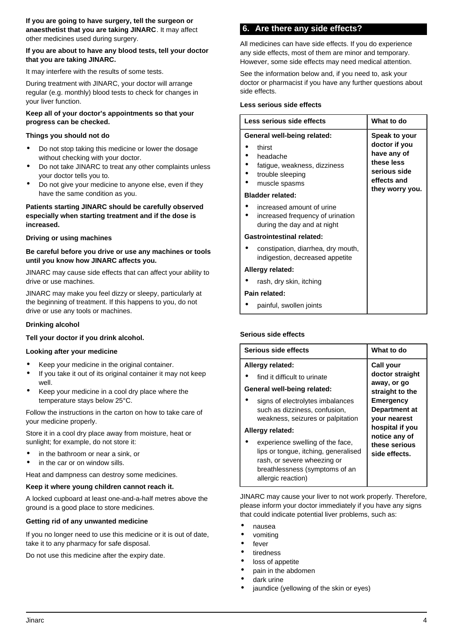## <span id="page-3-0"></span>**If you are about to have any blood tests, tell your doctor that you are taking JINARC.**

It may interfere with the results of some tests.

During treatment with JINARC, your doctor will arrange regular (e.g. monthly) blood tests to check for changes in your liver function.

## **Keep all of your doctor's appointments so that your progress can be checked.**

## **Things you should not do**

- Do not stop taking this medicine or lower the dosage without checking with your doctor.
- Do not take JINARC to treat any other complaints unless your doctor tells you to.
- Do not give your medicine to anyone else, even if they have the same condition as you.

## **Patients starting JINARC should be carefully observed especially when starting treatment and if the dose is increased.**

## **Driving or using machines**

## **Be careful before you drive or use any machines or tools until you know how JINARC affects you.**

JINARC may cause side effects that can affect your ability to drive or use machines.

JINARC may make you feel dizzy or sleepy, particularly at the beginning of treatment. If this happens to you, do not drive or use any tools or machines.

## **Drinking alcohol**

## **Tell your doctor if you drink alcohol.**

## **Looking after your medicine**

- Keep your medicine in the original container.
- If you take it out of its original container it may not keep well.
- Keep your medicine in a cool dry place where the temperature stays below 25°C.

Follow the instructions in the carton on how to take care of your medicine properly.

Store it in a cool dry place away from moisture, heat or sunlight; for example, do not store it:

- in the bathroom or near a sink, or
- in the car or on window sills.

Heat and dampness can destroy some medicines.

## **Keep it where young children cannot reach it.**

A locked cupboard at least one-and-a-half metres above the ground is a good place to store medicines.

## **Getting rid of any unwanted medicine**

If you no longer need to use this medicine or it is out of date, take it to any pharmacy for safe disposal.

Do not use this medicine after the expiry date.

## **6. Are there any side effects?**

All medicines can have side effects. If you do experience any side effects, most of them are minor and temporary. However, some side effects may need medical attention.

See the information below and, if you need to, ask your doctor or pharmacist if you have any further questions about side effects.

## **Less serious side effects**

| Less serious side effects                                                                                              | What to do                                                                                                    |
|------------------------------------------------------------------------------------------------------------------------|---------------------------------------------------------------------------------------------------------------|
| General well-being related:<br>thirst<br>headache<br>fatigue, weakness, dizziness<br>trouble sleeping<br>muscle spasms | Speak to your<br>doctor if you<br>have any of<br>these less<br>serious side<br>effects and<br>they worry you. |
| <b>Bladder related:</b>                                                                                                |                                                                                                               |
| increased amount of urine<br>increased frequency of urination<br>during the day and at night                           |                                                                                                               |
| <b>Gastrointestinal related:</b>                                                                                       |                                                                                                               |
| constipation, diarrhea, dry mouth,<br>indigestion, decreased appetite                                                  |                                                                                                               |
| Allergy related:                                                                                                       |                                                                                                               |
| rash, dry skin, itching                                                                                                |                                                                                                               |
| Pain related:                                                                                                          |                                                                                                               |
| painful, swollen joints                                                                                                |                                                                                                               |

## **Serious side effects**

| Serious side effects                                                                                                                                            | What to do                                                                  |
|-----------------------------------------------------------------------------------------------------------------------------------------------------------------|-----------------------------------------------------------------------------|
| Allergy related:<br>find it difficult to urinate                                                                                                                | Call your<br>doctor straight<br>away, or go                                 |
| General well-being related:<br>signs of electrolytes imbalances<br>such as dizziness, confusion,<br>weakness, seizures or palpitation                           | straight to the<br><b>Emergency</b><br>Department at<br><b>vour nearest</b> |
| Allergy related:                                                                                                                                                | hospital if you<br>notice any of                                            |
| experience swelling of the face,<br>lips or tongue, itching, generalised<br>rash, or severe wheezing or<br>breathlessness (symptoms of an<br>allergic reaction) | these serious<br>side effects.                                              |

JINARC may cause your liver to not work properly. Therefore, please inform your doctor immediately if you have any signs that could indicate potential liver problems, such as:

- nausea
- vomiting
- fever
- tiredness
- loss of appetite
- pain in the abdomen
- dark urine
- jaundice (yellowing of the skin or eyes)